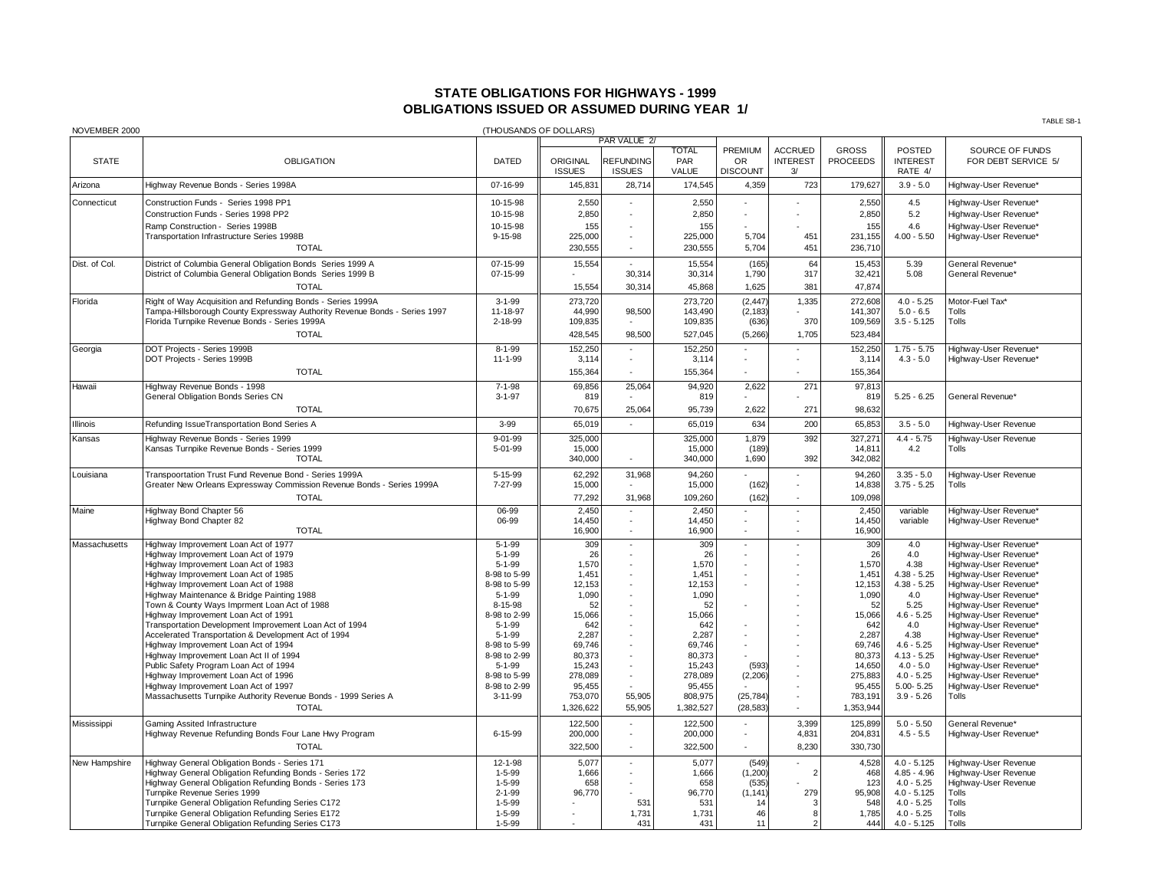## **STATE OBLIGATIONS FOR HIGHWAYS - 1999 OBLIGATIONS ISSUED OR ASSUMED DURING YEAR 1/**

| NOVEMBER 2000                |                                                                                                                                                                                                                                                                                                                                                                                                                                                                                                                                                                                                                                                                                                                                                                                                                                                                        |                                                                                                                                                                                                                                                               | (THOUSANDS OF DOLLARS)                                                                                                                                                                     |                                                                    |                                                                                                                                                                                            |                                                                                                                                           |                                                   |                                                                                                                                                                                            |                                                                                                                                                                                                                                    | TABLE SB-1                                                                                                                                                                                                                                                                                                                                                                                                                                |
|------------------------------|------------------------------------------------------------------------------------------------------------------------------------------------------------------------------------------------------------------------------------------------------------------------------------------------------------------------------------------------------------------------------------------------------------------------------------------------------------------------------------------------------------------------------------------------------------------------------------------------------------------------------------------------------------------------------------------------------------------------------------------------------------------------------------------------------------------------------------------------------------------------|---------------------------------------------------------------------------------------------------------------------------------------------------------------------------------------------------------------------------------------------------------------|--------------------------------------------------------------------------------------------------------------------------------------------------------------------------------------------|--------------------------------------------------------------------|--------------------------------------------------------------------------------------------------------------------------------------------------------------------------------------------|-------------------------------------------------------------------------------------------------------------------------------------------|---------------------------------------------------|--------------------------------------------------------------------------------------------------------------------------------------------------------------------------------------------|------------------------------------------------------------------------------------------------------------------------------------------------------------------------------------------------------------------------------------|-------------------------------------------------------------------------------------------------------------------------------------------------------------------------------------------------------------------------------------------------------------------------------------------------------------------------------------------------------------------------------------------------------------------------------------------|
|                              |                                                                                                                                                                                                                                                                                                                                                                                                                                                                                                                                                                                                                                                                                                                                                                                                                                                                        |                                                                                                                                                                                                                                                               |                                                                                                                                                                                            | PAR VALUE 2/                                                       |                                                                                                                                                                                            |                                                                                                                                           |                                                   |                                                                                                                                                                                            |                                                                                                                                                                                                                                    |                                                                                                                                                                                                                                                                                                                                                                                                                                           |
| <b>STATE</b>                 | <b>OBLIGATION</b>                                                                                                                                                                                                                                                                                                                                                                                                                                                                                                                                                                                                                                                                                                                                                                                                                                                      | <b>DATED</b>                                                                                                                                                                                                                                                  | ORIGINAL<br><b>ISSUES</b>                                                                                                                                                                  | <b>REFUNDING</b><br><b>ISSUES</b>                                  | <b>TOTAL</b><br>PAR<br>VALUE                                                                                                                                                               | PREMIUM<br><b>OR</b><br><b>DISCOUNT</b>                                                                                                   | <b>ACCRUED</b><br><b>INTEREST</b><br>3/           | <b>GROSS</b><br><b>PROCEEDS</b>                                                                                                                                                            | <b>POSTED</b><br><b>INTEREST</b><br>RATE 4/                                                                                                                                                                                        | SOURCE OF FUNDS<br>FOR DEBT SERVICE 5/                                                                                                                                                                                                                                                                                                                                                                                                    |
| Arizona                      | Highway Revenue Bonds - Series 1998A                                                                                                                                                                                                                                                                                                                                                                                                                                                                                                                                                                                                                                                                                                                                                                                                                                   | 07-16-99                                                                                                                                                                                                                                                      | 145,831                                                                                                                                                                                    | 28,714                                                             | 174,545                                                                                                                                                                                    | 4,359                                                                                                                                     | 723                                               | 179,627                                                                                                                                                                                    | $3.9 - 5.0$                                                                                                                                                                                                                        | Highway-User Revenue*                                                                                                                                                                                                                                                                                                                                                                                                                     |
| Connecticut                  | Construction Funds - Series 1998 PP1<br>Construction Funds - Series 1998 PP2<br>Ramp Construction - Series 1998B<br>Transportation Infrastructure Series 1998B<br><b>TOTAL</b>                                                                                                                                                                                                                                                                                                                                                                                                                                                                                                                                                                                                                                                                                         | 10-15-98<br>10-15-98<br>10-15-98<br>9-15-98                                                                                                                                                                                                                   | 2,550<br>2,850<br>155<br>225,000<br>230,555                                                                                                                                                |                                                                    | 2,550<br>2,850<br>155<br>225,000<br>230,555                                                                                                                                                | 5,704<br>5,704                                                                                                                            | 451<br>451                                        | 2,550<br>2,850<br>155<br>231,155<br>236,710                                                                                                                                                | 4.5<br>5.2<br>4.6<br>$4.00 - 5.50$                                                                                                                                                                                                 | Highway-User Revenue*<br>Highway-User Revenue*<br>Highway-User Revenue*<br>Highway-User Revenue*                                                                                                                                                                                                                                                                                                                                          |
| Dist. of Col.                | District of Columbia General Obligation Bonds Series 1999 A<br>District of Columbia General Obligation Bonds Series 1999 B<br><b>TOTAL</b>                                                                                                                                                                                                                                                                                                                                                                                                                                                                                                                                                                                                                                                                                                                             | 07-15-99<br>07-15-99                                                                                                                                                                                                                                          | 15,554<br>15,554                                                                                                                                                                           | 30,314<br>30,314                                                   | 15,554<br>30,314<br>45,868                                                                                                                                                                 | (165)<br>1,790<br>1,625                                                                                                                   | 64<br>317<br>381                                  | 15,453<br>32,421<br>47,874                                                                                                                                                                 | 5.39<br>5.08                                                                                                                                                                                                                       | General Revenue'<br>General Revenue*                                                                                                                                                                                                                                                                                                                                                                                                      |
| Florida                      | Right of Way Acquisition and Refunding Bonds - Series 1999A<br>Tampa-Hillsborough County Expressway Authority Revenue Bonds - Series 1997<br>Florida Turnpike Revenue Bonds - Series 1999A<br><b>TOTAL</b>                                                                                                                                                                                                                                                                                                                                                                                                                                                                                                                                                                                                                                                             | $3 - 1 - 99$<br>11-18-97<br>2-18-99                                                                                                                                                                                                                           | 273.720<br>44,990<br>109,835<br>428,545                                                                                                                                                    | 98,500<br>98,500                                                   | 273.720<br>143,490<br>109,835<br>527,045                                                                                                                                                   | (2.447)<br>(2, 183)<br>(636)<br>(5, 266)                                                                                                  | 1,335<br>370<br>1,705                             | 272.608<br>141,307<br>109,569<br>523,484                                                                                                                                                   | $4.0 - 5.25$<br>$5.0 - 6.5$<br>$3.5 - 5.125$                                                                                                                                                                                       | Motor-Fuel Tax*<br>Tolls<br>Tolls                                                                                                                                                                                                                                                                                                                                                                                                         |
| Georgia                      | DOT Projects - Series 1999B<br>DOT Projects - Series 1999B<br><b>TOTAL</b>                                                                                                                                                                                                                                                                                                                                                                                                                                                                                                                                                                                                                                                                                                                                                                                             | $8 - 1 - 99$<br>$11 - 1 - 99$                                                                                                                                                                                                                                 | 152,250<br>3,114<br>155,364                                                                                                                                                                | $\sim$                                                             | 152.250<br>3,114<br>155,364                                                                                                                                                                | $\sim$                                                                                                                                    | $\blacksquare$<br>$\blacksquare$                  | 152,250<br>3,114<br>155,364                                                                                                                                                                | $1.75 - 5.75$<br>$4.3 - 5.0$                                                                                                                                                                                                       | Highway-User Revenue*<br>Highway-User Revenue*                                                                                                                                                                                                                                                                                                                                                                                            |
| Hawaii                       | Highway Revenue Bonds - 1998<br>General Obligation Bonds Series CN<br><b>TOTAL</b>                                                                                                                                                                                                                                                                                                                                                                                                                                                                                                                                                                                                                                                                                                                                                                                     | $7 - 1 - 98$<br>$3 - 1 - 97$                                                                                                                                                                                                                                  | 69,856<br>819<br>70,675                                                                                                                                                                    | 25,064<br>25.064                                                   | 94,920<br>819<br>95,739                                                                                                                                                                    | 2,622<br>2,622                                                                                                                            | 271<br>271                                        | 97,813<br>819<br>98.632                                                                                                                                                                    | $5.25 - 6.25$                                                                                                                                                                                                                      | General Revenue*                                                                                                                                                                                                                                                                                                                                                                                                                          |
| Illinois                     | Refunding IssueTransportation Bond Series A                                                                                                                                                                                                                                                                                                                                                                                                                                                                                                                                                                                                                                                                                                                                                                                                                            | $3 - 99$                                                                                                                                                                                                                                                      | 65,019                                                                                                                                                                                     | $\sim$                                                             | 65,019                                                                                                                                                                                     | 634                                                                                                                                       | 200                                               | 65,853                                                                                                                                                                                     | $3.5 - 5.0$                                                                                                                                                                                                                        | Highway-User Revenue                                                                                                                                                                                                                                                                                                                                                                                                                      |
| Kansas                       | Highway Revenue Bonds - Series 1999<br>Kansas Turnpike Revenue Bonds - Series 1999<br><b>TOTAL</b>                                                                                                                                                                                                                                                                                                                                                                                                                                                                                                                                                                                                                                                                                                                                                                     | $9 - 01 - 99$<br>5-01-99                                                                                                                                                                                                                                      | 325,000<br>15,000<br>340,000                                                                                                                                                               |                                                                    | 325,000<br>15,000<br>340,000                                                                                                                                                               | 1,879<br>(189)<br>1,690                                                                                                                   | 392<br>392                                        | 327,271<br>14,811<br>342,082                                                                                                                                                               | $4.4 - 5.75$<br>4.2                                                                                                                                                                                                                | Highway-User Revenue<br>Tolls                                                                                                                                                                                                                                                                                                                                                                                                             |
| Louisiana                    | Transpoortation Trust Fund Revenue Bond - Series 1999A<br>Greater New Orleans Expressway Commission Revenue Bonds - Series 1999A<br><b>TOTAL</b>                                                                                                                                                                                                                                                                                                                                                                                                                                                                                                                                                                                                                                                                                                                       | 5-15-99<br>7-27-99                                                                                                                                                                                                                                            | 62,292<br>15,000<br>77,292                                                                                                                                                                 | 31,968<br>31,968                                                   | 94,260<br>15,000<br>109,260                                                                                                                                                                | (162)<br>(162)                                                                                                                            | ÷                                                 | 94,260<br>14,838<br>109.098                                                                                                                                                                | $3.35 - 5.0$<br>$3.75 - 5.25$                                                                                                                                                                                                      | Highway-User Revenue<br>Tolls                                                                                                                                                                                                                                                                                                                                                                                                             |
| Maine                        | Highway Bond Chapter 56<br>Highway Bond Chapter 82<br><b>TOTAL</b>                                                                                                                                                                                                                                                                                                                                                                                                                                                                                                                                                                                                                                                                                                                                                                                                     | 06-99<br>06-99                                                                                                                                                                                                                                                | 2,450<br>14,450<br>16,900                                                                                                                                                                  | $\sim$                                                             | 2,450<br>14,450<br>16,900                                                                                                                                                                  | $\sim$                                                                                                                                    |                                                   | 2,450<br>14,450<br>16,900                                                                                                                                                                  | variable<br>variable                                                                                                                                                                                                               | Highway-User Revenue*<br>Highway-User Revenue*                                                                                                                                                                                                                                                                                                                                                                                            |
| Massachusetts<br>Mississippi | Highway Improvement Loan Act of 1977<br>Highway Improvement Loan Act of 1979<br>Highway Improvement Loan Act of 1983<br>Highway Improvement Loan Act of 1985<br>Highway Improvement Loan Act of 1988<br>Highway Maintenance & Bridge Painting 1988<br>Town & County Ways Imprment Loan Act of 1988<br>Highway Improvement Loan Act of 1991<br>Transportation Development Improvement Loan Act of 1994<br>Accelerated Transportation & Development Act of 1994<br>Highway Improvement Loan Act of 1994<br>Highway Improvement Loan Act II of 1994<br>Public Safety Program Loan Act of 1994<br>Highway Improvement Loan Act of 1996<br>Highway Improvement Loan Act of 1997<br>Massachusetts Turnpike Authority Revenue Bonds - 1999 Series A<br><b>TOTAL</b><br>Gaming Assited Infrastructure<br>Highway Revenue Refunding Bonds Four Lane Hwy Program<br><b>TOTAL</b> | $5 - 1 - 99$<br>$5 - 1 - 99$<br>$5 - 1 - 99$<br>8-98 to 5-99<br>8-98 to 5-99<br>$5 - 1 - 99$<br>8-15-98<br>8-98 to 2-99<br>$5 - 1 - 99$<br>$5 - 1 - 99$<br>8-98 to 5-99<br>8-98 to 2-99<br>$5 - 1 - 99$<br>8-98 to 5-99<br>8-98 to 2-99<br>3-11-99<br>6-15-99 | 309<br>26<br>1,570<br>1,451<br>12,153<br>1,090<br>52<br>15,066<br>642<br>2,287<br>69,746<br>80,373<br>15,243<br>278,089<br>95,455<br>753,070<br>1,326,622<br>122,500<br>200,000<br>322,500 | $\sim$<br>$\overline{a}$<br>÷.<br>$\sim$<br>55,905<br>55,905<br>÷. | 309<br>26<br>1,570<br>1,451<br>12,153<br>1,090<br>52<br>15,066<br>642<br>2,287<br>69,746<br>80,373<br>15,243<br>278,089<br>95,455<br>808,975<br>1,382,527<br>122,500<br>200,000<br>322,500 | $\sim$<br>$\sim$<br>$\sim$<br>$\overline{\phantom{a}}$<br>÷.<br>$\sim$<br>$\sim$<br>(593)<br>(2, 206)<br>(25, 784)<br>(28, 583)<br>$\sim$ | ٠<br>÷,<br>٠<br>3.399<br>4,831<br>8,230           | 309<br>26<br>1.570<br>1,451<br>12,153<br>1,090<br>52<br>15,066<br>642<br>2,287<br>69.746<br>80,373<br>14,650<br>275,883<br>95,455<br>783,191<br>1,353,944<br>125,899<br>204,831<br>330.730 | 4.0<br>4.0<br>4.38<br>$4.38 - 5.25$<br>$4.38 - 5.25$<br>4.0<br>5.25<br>$4.6 - 5.25$<br>4.0<br>4.38<br>$4.6 - 5.25$<br>$4.13 - 5.25$<br>$4.0 - 5.0$<br>$4.0 - 5.25$<br>$5.00 - 5.25$<br>$3.9 - 5.26$<br>$5.0 - 5.50$<br>$4.5 - 5.5$ | Highway-User Revenue*<br>Highway-User Revenue*<br>Highway-User Revenue*<br>Highway-User Revenue*<br>Highway-User Revenue*<br>Highway-User Revenue*<br>Highway-User Revenue*<br>Highway-User Revenue*<br>Highway-User Revenue*<br>Highway-User Revenue*<br>Highway-User Revenue*<br>Highway-User Revenue*<br>Highway-User Revenue*<br>Highway-User Revenue*<br>Highway-User Revenue*<br>Tolls<br>General Revenue*<br>Highway-User Revenue* |
| New Hampshire                | Highway General Obligation Bonds - Series 171<br>Highway General Obligation Refunding Bonds - Series 172<br>Highway General Obligation Refunding Bonds - Series 173<br>Turnpike Revenue Series 1999<br>Turnpike General Obligation Refunding Series C172<br>Turnpike General Obligation Refunding Series E172<br>Turnpike General Obligation Refunding Series C173                                                                                                                                                                                                                                                                                                                                                                                                                                                                                                     | 12-1-98<br>$1 - 5 - 99$<br>$1 - 5 - 99$<br>$2 - 1 - 99$<br>$1 - 5 - 99$<br>$1 - 5 - 99$<br>$1 - 5 - 99$                                                                                                                                                       | 5,077<br>1,666<br>658<br>96,770                                                                                                                                                            | 531<br>1,731<br>431                                                | 5,077<br>1,666<br>658<br>96,770<br>531<br>1.731<br>431                                                                                                                                     | (549)<br>(1, 200)<br>(535)<br>(1, 141)<br>14<br>46<br>11                                                                                  | $\overline{2}$<br>279<br>3<br>8<br>$\overline{2}$ | 4,528<br>468<br>123<br>95,908<br>548<br>1.785<br>444                                                                                                                                       | $4.0 - 5.125$<br>$4.85 - 4.96$<br>$4.0 - 5.25$<br>$4.0 - 5.125$<br>$4.0 - 5.25$<br>$4.0 - 5.25$<br>$4.0 - 5.125$                                                                                                                   | Highway-User Revenue<br>Highway-User Revenue<br>Highway-User Revenue<br>Tolls<br>Tolls<br>Tolls<br>Tolls                                                                                                                                                                                                                                                                                                                                  |